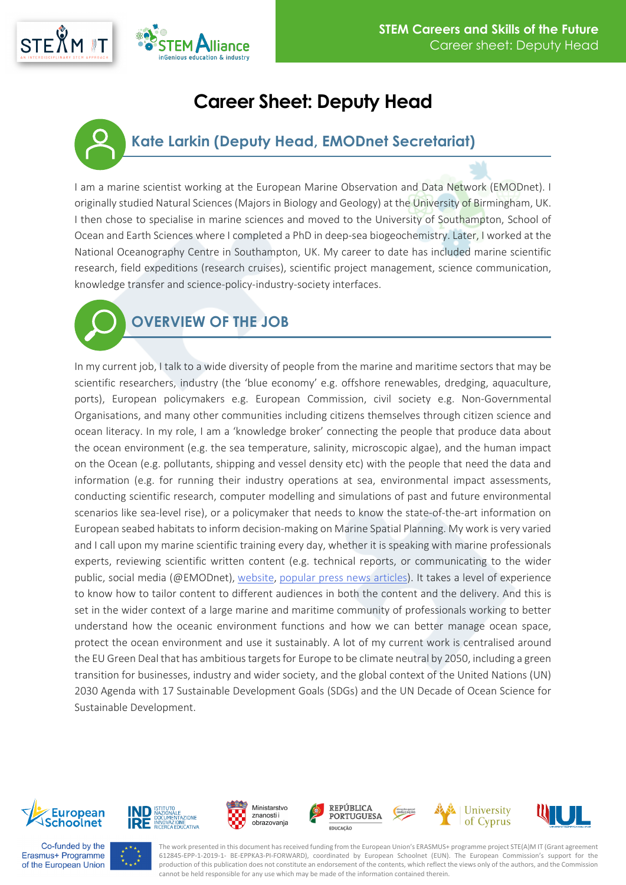## **Career Sheet: Deputy Head**

## **Kate Larkin (Deputy Head, EMODnet Secretariat)**

I am a marine scientist working at the European Marine Observation and Data Network (EMODnet). I originally studied Natural Sciences (Majors in Biology and Geology) at the University of Birmingham, UK. I then chose to specialise in marine sciences and moved to the University of Southampton, School of Ocean and Earth Sciences where I completed a PhD in deep-sea biogeochemistry. Later, I worked at the National Oceanography Centre in Southampton, UK. My career to date has included marine scientific research, field expeditions (research cruises), scientific project management, science communication, knowledge transfer and science-policy-industry-society interfaces.



Vliance

**nGenious education & industry** 

In my current job, I talk to a wide diversity of people from the marine and maritime sectors that may be scientific researchers, industry (the 'blue economy' e.g. offshore renewables, dredging, aquaculture, ports), European policymakers e.g. European Commission, civil society e.g. Non-Governmental Organisations, and many other communities including citizens themselves through citizen science and ocean literacy. In my role, I am a 'knowledge broker' connecting the people that produce data about the ocean environment (e.g. the sea temperature, salinity, microscopic algae), and the human impact on the Ocean (e.g. pollutants, shipping and vessel density etc) with the people that need the data and information (e.g. for running their industry operations at sea, environmental impact assessments, conducting scientific research, computer modelling and simulations of past and future environmental scenarios like sea-level rise), or a policymaker that needs to know the state-of-the-art information on European seabed habitats to inform decision-making on Marine Spatial Planning. My work is very varied and I call upon my marine scientific training every day, whether it is speaking with marine professionals experts, reviewing scientific written content (e.g. technical reports, or communicating to the wider public, social media (@EMODnet), [website,](https://www.emodnet.eu/) [popular press news articles\)](http://digital.ecomagazine.com/publication/frame.php?i=707374&p=221&pn=&ver=html5). It takes a level of experience to know how to tailor content to different audiences in both the content and the delivery. And this is set in the wider context of a large marine and maritime community of professionals working to better understand how the oceanic environment functions and how we can better manage ocean space, protect the ocean environment and use it sustainably. A lot of my current work is centralised around the EU Green Deal that has ambitious targets for Europe to be climate neutral by 2050, including a green transition for businesses, industry and wider society, and the global context of the United Nations (UN) 2030 Agenda with 17 Sustainable Development Goals (SDGs) and the UN Decade of Ocean Science for Sustainable Development.



**STEXM** 

















The work presented in this document has received funding from the European Union's ERASMUS+ programme project STE(A)M IT (Grant agreement 612845-EPP-1-2019-1- BE-EPPKA3-PI-FORWARD), coordinated by European Schoolnet (EUN). The European Commission's support for the production of this publication does not constitute an endorsement of the contents, which reflect the views only of the authors, and the Commission cannot be held responsible for any use which may be made of the information contained therein.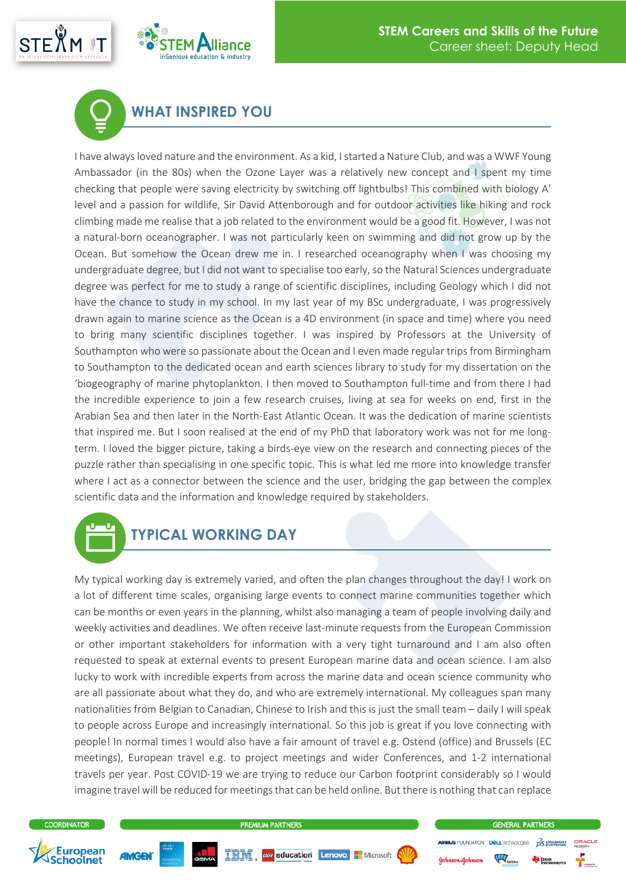



## **WHAT INSPIRED YOU**

I have always loved nature and the environment. As a kid, I started a Nature Club, and was a WWF Young Ambassador (in the 80s) when the Ozone Layer was a relatively new concept and I spent my time checking that people were saving electricity by switching off lightbulbs! This combined with biology A' level and a passion for wildlife, Sir David Attenborough and for outdoor activities like hiking and rock climbing made me realise that a job related to the environment would be a good fit. However, I was not a natural-born oceanographer. I was not particularly keen on swimming and did not grow up by the Ocean. But somehow the Ocean drew me in. I researched oceanography when I was choosing my undergraduate degree, but I did not want to specialise too early, so the Natural Sciences undergraduate degree was perfect for me to study a range of scientific disciplines, including Geology which I did not have the chance to study in my school. In my last year of my BSc undergraduate, I was progressively drawn again to marine science as the Ocean is a 4D environment (in space and time) where you need to bring many scientific disciplines together. I was inspired by Professors at the University of Southampton who were so passionate about the Ocean and I even made regular trips from Birmingham to Southampton to the dedicated ocean and earth sciences library to study for my dissertation on the 'biogeography of marine phytoplankton. I then moved to Southampton full-time and from there I had the incredible experience to join a few research cruises, living at sea for weeks on end, first in the Arabian Sea and then later in the North-East Atlantic Ocean. It was the dedication of marine scientists that inspired me. But I soon realised at the end of my PhD that laboratory work was not for me longterm. I loved the bigger picture, taking a birds-eye view on the research and connecting pieces of the puzzle rather than specialising in one specific topic. This is what led me more into knowledge transfer where I act as a connector between the science and the user, bridging the gap between the complex scientific data and the information and knowledge required by stakeholders.



My typical working day is extremely varied, and often the plan changes throughout the day! I work on a lot of different time scales, organising large events to connect marine communities together which can be months or even years in the planning, whilst also managing a team of people involving daily and weekly activities and deadlines. We often receive last-minute requests from the European Commission or other important stakeholders for information with a very tight turnaround and I am also often requested to speak at external events to present European marine data and ocean science. I am also lucky to work with incredible experts from across the marine data and ocean science community who are all passionate about what they do, and who are extremely international. My colleagues span many nationalities from Belgian to Canadian, Chinese to Irish and this is just the small team – daily I will speak to people across Europe and increasingly international. So this job is great if you love connecting with people! In normal times I would also have a fair amount of travel e.g. Ostend (office) and Brussels (EC meetings), European travel e.g. to project meetings and wider Conferences, and 1-2 international travels per year. Post COVID-19 we are trying to reduce our Carbon footprint considerably so I would imagine travel will be reduced for meetings that can be held online. But there is nothing that can replace







 $\sqrt[m]{\mathcal{M}}_{\text{SISSM}}$ 

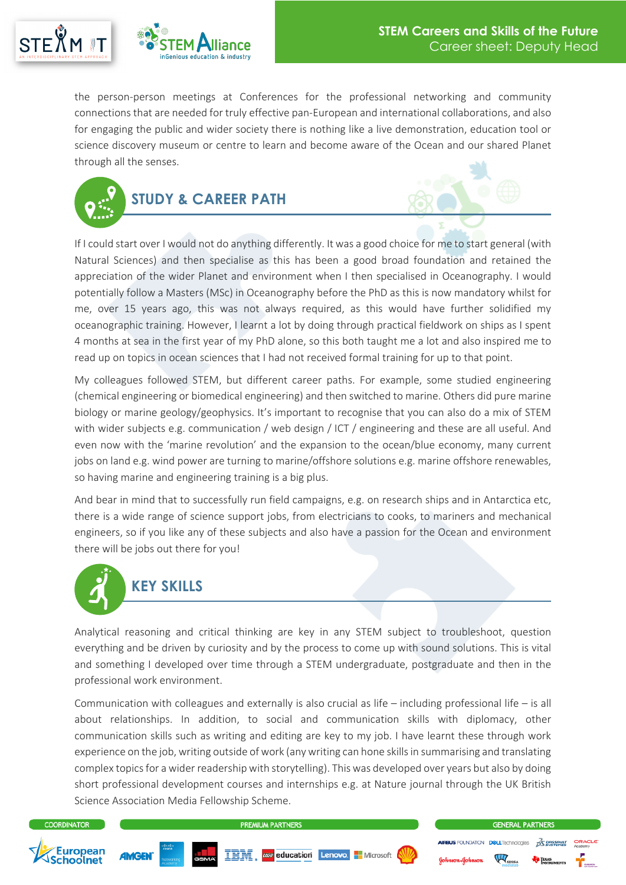



the person-person meetings at Conferences for the professional networking and community connections that are needed for truly effective pan-European and international collaborations, and also for engaging the public and wider society there is nothing like a live demonstration, education tool or science discovery museum or centre to learn and become aware of the Ocean and our shared Planet through all the senses.



If I could start over I would not do anything differently. It was a good choice for me to start general (with Natural Sciences) and then specialise as this has been a good broad foundation and retained the appreciation of the wider Planet and environment when I then specialised in Oceanography. I would potentially follow a Masters (MSc) in Oceanography before the PhD as this is now mandatory whilst for me, over 15 years ago, this was not always required, as this would have further solidified my oceanographic training. However, I learnt a lot by doing through practical fieldwork on ships as I spent 4 months at sea in the first year of my PhD alone, so this both taught me a lot and also inspired me to read up on topics in ocean sciences that I had not received formal training for up to that point.

My colleagues followed STEM, but different career paths. For example, some studied engineering (chemical engineering or biomedical engineering) and then switched to marine. Others did pure marine biology or marine geology/geophysics. It's important to recognise that you can also do a mix of STEM with wider subjects e.g. communication / web design / ICT / engineering and these are all useful. And even now with the 'marine revolution' and the expansion to the ocean/blue economy, many current jobs on land e.g. wind power are turning to marine/offshore solutions e.g. marine offshore renewables, so having marine and engineering training is a big plus.

And bear in mind that to successfully run field campaigns, e.g. on research ships and in Antarctica etc, there is a wide range of science support jobs, from electricians to cooks, to mariners and mechanical engineers, so if you like any of these subjects and also have a passion for the Ocean and environment there will be jobs out there for you!



Analytical reasoning and critical thinking are key in any STEM subject to troubleshoot, question everything and be driven by curiosity and by the process to come up with sound solutions. This is vital and something I developed over time through a STEM undergraduate, postgraduate and then in the professional work environment.

Communication with colleagues and externally is also crucial as life – including professional life – is all about relationships. In addition, to social and communication skills with diplomacy, other communication skills such as writing and editing are key to my job. I have learnt these through work experience on the job, writing outside of work (any writing can hone skills in summarising and translating complex topics for a wider readership with storytelling). This was developed over years but also by doing short professional development courses and internships e.g. at Nature journal through the UK British Science Association Media Fellowship Scheme.

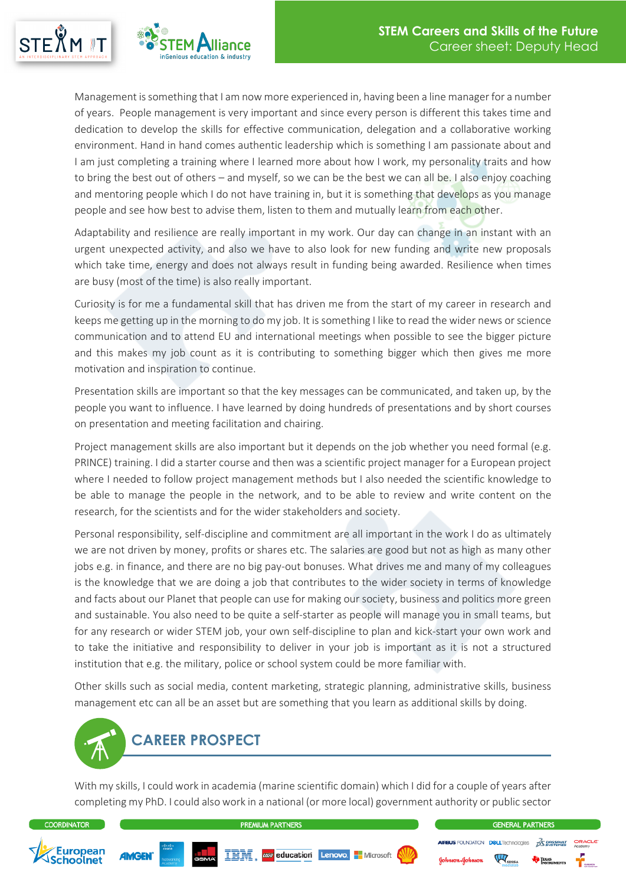



Management is something that I am now more experienced in, having been a line manager for a number of years. People management is very important and since every person is different this takes time and dedication to develop the skills for effective communication, delegation and a collaborative working environment. Hand in hand comes authentic leadership which is something I am passionate about and I am just completing a training where I learned more about how I work, my personality traits and how to bring the best out of others – and myself, so we can be the best we can all be. I also enjoy coaching and mentoring people which I do not have training in, but it is something that develops as you manage people and see how best to advise them, listen to them and mutually learn from each other.

Adaptability and resilience are really important in my work. Our day can change in an instant with an urgent unexpected activity, and also we have to also look for new funding and write new proposals which take time, energy and does not always result in funding being awarded. Resilience when times are busy (most of the time) is also really important.

Curiosity is for me a fundamental skill that has driven me from the start of my career in research and keeps me getting up in the morning to do my job. It is something I like to read the wider news or science communication and to attend EU and international meetings when possible to see the bigger picture and this makes my job count as it is contributing to something bigger which then gives me more motivation and inspiration to continue.

Presentation skills are important so that the key messages can be communicated, and taken up, by the people you want to influence. I have learned by doing hundreds of presentations and by short courses on presentation and meeting facilitation and chairing.

Project management skills are also important but it depends on the job whether you need formal (e.g. PRINCE) training. I did a starter course and then was a scientific project manager for a European project where I needed to follow project management methods but I also needed the scientific knowledge to be able to manage the people in the network, and to be able to review and write content on the research, for the scientists and for the wider stakeholders and society.

Personal responsibility, self-discipline and commitment are all important in the work I do as ultimately we are not driven by money, profits or shares etc. The salaries are good but not as high as many other jobs e.g. in finance, and there are no big pay-out bonuses. What drives me and many of my colleagues is the knowledge that we are doing a job that contributes to the wider society in terms of knowledge and facts about our Planet that people can use for making our society, business and politics more green and sustainable. You also need to be quite a self-starter as people will manage you in small teams, but for any research or wider STEM job, your own self-discipline to plan and kick-start your own work and to take the initiative and responsibility to deliver in your job is important as it is not a structured institution that e.g. the military, police or school system could be more familiar with.

Other skills such as social media, content marketing, strategic planning, administrative skills, business management etc can all be an asset but are something that you learn as additional skills by doing.



With my skills, I could work in academia (marine scientific domain) which I did for a couple of years after completing my PhD. I could also work in a national (or more local) government authority or public sector



**GENERAL PARTNERS** 

FOUNDATION DOLLTechnologies

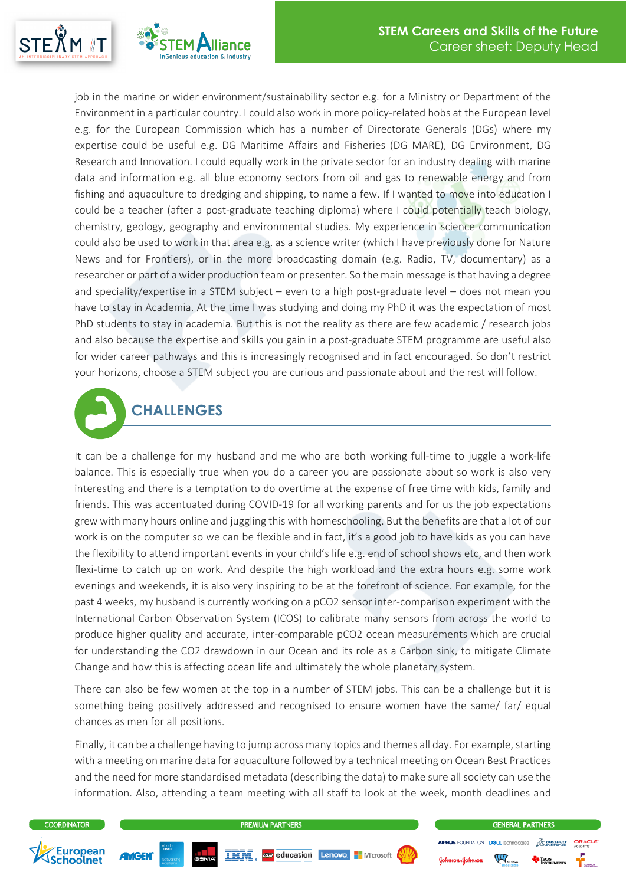

job in the marine or wider environment/sustainability sector e.g. for a Ministry or Department of the Environment in a particular country. I could also work in more policy-related hobs at the European level e.g. for the European Commission which has a number of Directorate Generals (DGs) where my expertise could be useful e.g. DG Maritime Affairs and Fisheries (DG MARE), DG Environment, DG Research and Innovation. I could equally work in the private sector for an industry dealing with marine data and information e.g. all blue economy sectors from oil and gas to renewable energy and from fishing and aquaculture to dredging and shipping, to name a few. If I wanted to move into education I could be a teacher (after a post-graduate teaching diploma) where I could potentially teach biology, chemistry, geology, geography and environmental studies. My experience in science communication could also be used to work in that area e.g. as a science writer (which I have previously done for Nature News and for Frontiers), or in the more broadcasting domain (e.g. Radio, TV, documentary) as a researcher or part of a wider production team or presenter. So the main message is that having a degree and speciality/expertise in a STEM subject – even to a high post-graduate level – does not mean you have to stay in Academia. At the time I was studying and doing my PhD it was the expectation of most PhD students to stay in academia. But this is not the reality as there are few academic / research jobs and also because the expertise and skills you gain in a post-graduate STEM programme are useful also for wider career pathways and this is increasingly recognised and in fact encouraged. So don't restrict your horizons, choose a STEM subject you are curious and passionate about and the rest will follow.



It can be a challenge for my husband and me who are both working full-time to juggle a work-life balance. This is especially true when you do a career you are passionate about so work is also very interesting and there is a temptation to do overtime at the expense of free time with kids, family and friends. This was accentuated during COVID-19 for all working parents and for us the job expectations grew with many hours online and juggling this with homeschooling. But the benefits are that a lot of our work is on the computer so we can be flexible and in fact, it's a good job to have kids as you can have the flexibility to attend important events in your child's life e.g. end of school shows etc, and then work flexi-time to catch up on work. And despite the high workload and the extra hours e.g. some work evenings and weekends, it is also very inspiring to be at the forefront of science. For example, for the past 4 weeks, my husband is currently working on a pCO2 sensor inter-comparison experiment with the International Carbon Observation System (ICOS) to calibrate many sensors from across the world to produce higher quality and accurate, inter-comparable pCO2 ocean measurements which are crucial for understanding the CO2 drawdown in our Ocean and its role as a Carbon sink, to mitigate Climate Change and how this is affecting ocean life and ultimately the whole planetary system.

There can also be few women at the top in a number of STEM jobs. This can be a challenge but it is something being positively addressed and recognised to ensure women have the same/ far/ equal chances as men for all positions.

Finally, it can be a challenge having to jump across many topics and themes all day. For example, starting with a meeting on marine data for aquaculture followed by a technical meeting on Ocean Best Practices and the need for more standardised metadata (describing the data) to make sure all society can use the information. Also, attending a team meeting with all staff to look at the week, month deadlines and

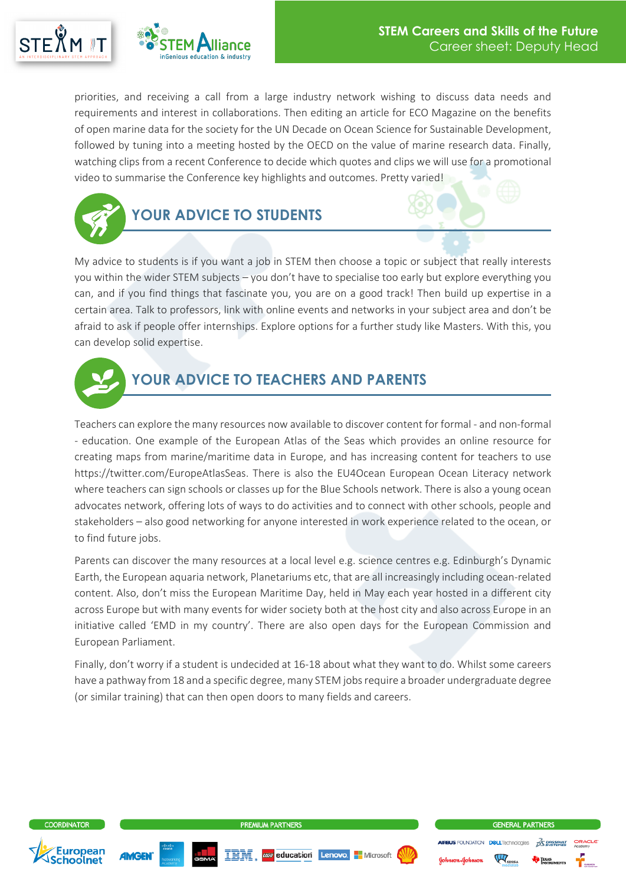



priorities, and receiving a call from a large industry network wishing to discuss data needs and requirements and interest in collaborations. Then editing an article for ECO Magazine on the benefits of open marine data for the society for the UN Decade on Ocean Science for Sustainable Development, followed by tuning into a meeting hosted by the OECD on the value of marine research data. Finally, watching clips from a recent Conference to decide which quotes and clips we will use for a promotional video to summarise the Conference key highlights and outcomes. Pretty varied!



My advice to students is if you want a job in STEM then choose a topic or subject that really interests you within the wider STEM subjects – you don't have to specialise too early but explore everything you can, and if you find things that fascinate you, you are on a good track! Then build up expertise in a certain area. Talk to professors, link with online events and networks in your subject area and don't be afraid to ask if people offer internships. Explore options for a further study like Masters. With this, you can develop solid expertise.



## **YOUR ADVICE TO TEACHERS AND PARENTS**

Teachers can explore the many resources now available to discover content for formal - and non-formal - education. One example of the European Atlas of the Seas which provides an online resource for creating maps from marine/maritime data in Europe, and has increasing content for teachers to use https://twitter.com/EuropeAtlasSeas. There is also the EU4Ocean European Ocean Literacy network where teachers can sign schools or classes up for the Blue Schools network. There is also a young ocean advocates network, offering lots of ways to do activities and to connect with other schools, people and stakeholders – also good networking for anyone interested in work experience related to the ocean, or to find future jobs.

Parents can discover the many resources at a local level e.g. science centres e.g. Edinburgh's Dynamic Earth, the European aquaria network, Planetariums etc, that are all increasingly including ocean-related content. Also, don't miss the European Maritime Day, held in May each year hosted in a different city across Europe but with many events for wider society both at the host city and also across Europe in an initiative called 'EMD in my country'. There are also open days for the European Commission and European Parliament.

Finally, don't worry if a student is undecided at 16-18 about what they want to do. Whilst some careers have a pathway from 18 and a specific degree, many STEM jobs require a broader undergraduate degree (or similar training) that can then open doors to many fields and careers.